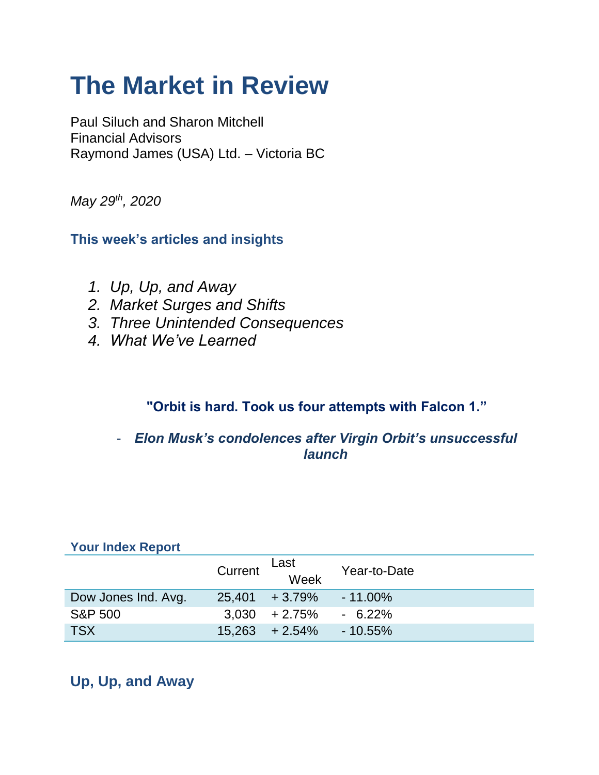# **The Market in Review**

Paul Siluch and Sharon Mitchell Financial Advisors Raymond James (USA) Ltd. – Victoria BC

*May 29th, 2020*

**This week's articles and insights**

- *1. Up, Up, and Away*
- *2. Market Surges and Shifts*
- *3. Three Unintended Consequences*
- *4. What We've Learned*

### **"Orbit is hard. Took us four attempts with Falcon 1."**

- *Elon Musk's condolences after Virgin Orbit's unsuccessful launch*

| <b>TOUL INDEX REPOIL</b> |         |                   |              |
|--------------------------|---------|-------------------|--------------|
|                          | Current | Last<br>Week      | Year-to-Date |
| Dow Jones Ind. Avg.      |         | $25,401 + 3.79\%$ | $-11.00\%$   |
| <b>S&amp;P 500</b>       |         | $3.030 + 2.75\%$  | $-6.22\%$    |
| <b>TSX</b>               |         | $15,263 + 2.54\%$ | $-10.55\%$   |

### **Your Index Report**

# **Up, Up, and Away**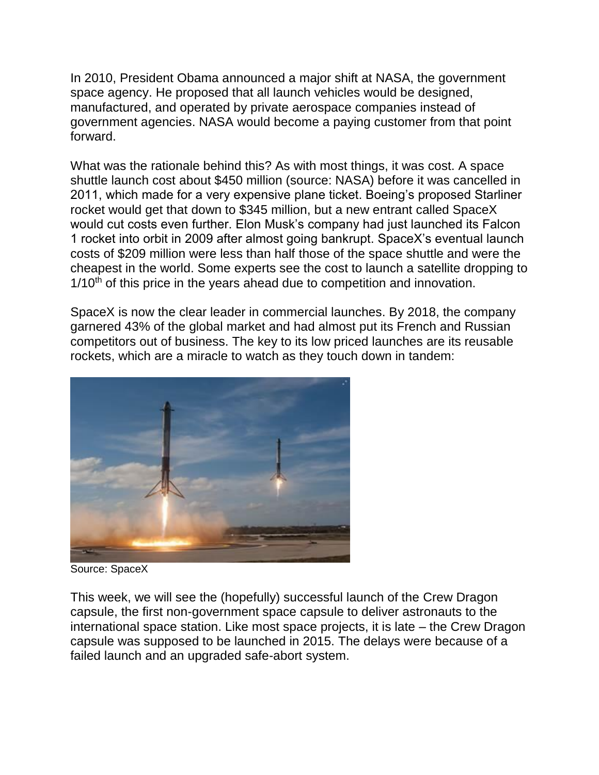In 2010, President Obama announced a major shift at NASA, the government space agency. He proposed that all launch vehicles would be designed, manufactured, and operated by private aerospace companies instead of government agencies. NASA would become a paying customer from that point forward.

What was the rationale behind this? As with most things, it was cost. A space shuttle launch cost about \$450 million (source: NASA) before it was cancelled in 2011, which made for a very expensive plane ticket. Boeing's proposed Starliner rocket would get that down to \$345 million, but a new entrant called SpaceX would cut costs even further. Elon Musk's company had just launched its Falcon 1 rocket into orbit in 2009 after almost going bankrupt. SpaceX's eventual launch costs of \$209 million were less than half those of the space shuttle and were the cheapest in the world. Some experts see the cost to launch a satellite dropping to  $1/10<sup>th</sup>$  of this price in the years ahead due to competition and innovation.

SpaceX is now the clear leader in commercial launches. By 2018, the company garnered 43% of the global market and had almost put its French and Russian competitors out of business. The key to its low priced launches are its reusable rockets, which are a miracle to watch as they touch down in tandem:



Source: SpaceX

This week, we will see the (hopefully) successful launch of the Crew Dragon capsule, the first non-government space capsule to deliver astronauts to the international space station. Like most space projects, it is late – the Crew Dragon capsule was supposed to be launched in 2015. The delays were because of a failed launch and an upgraded safe-abort system.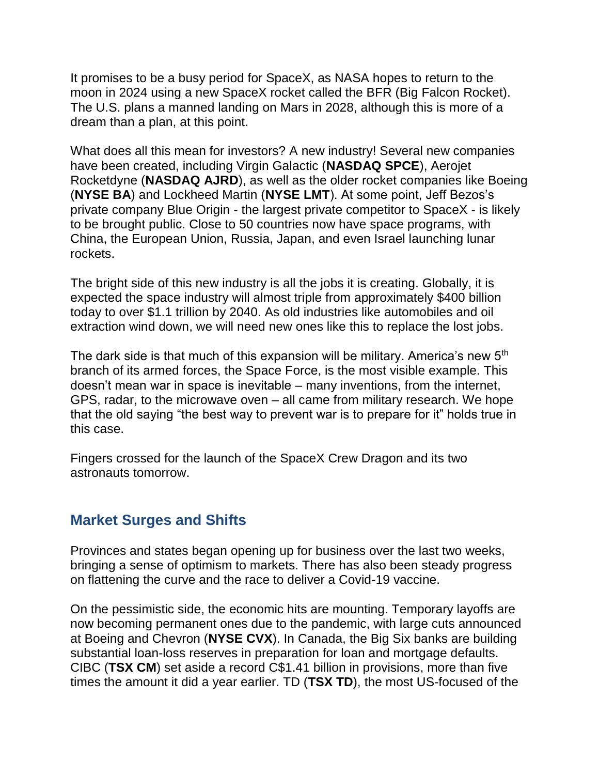It promises to be a busy period for SpaceX, as NASA hopes to return to the moon in 2024 using a new SpaceX rocket called the BFR (Big Falcon Rocket). The U.S. plans a manned landing on Mars in 2028, although this is more of a dream than a plan, at this point.

What does all this mean for investors? A new industry! Several new companies have been created, including Virgin Galactic (**NASDAQ SPCE**), Aerojet Rocketdyne (**NASDAQ AJRD**), as well as the older rocket companies like Boeing (**NYSE BA**) and Lockheed Martin (**NYSE LMT**). At some point, Jeff Bezos's private company Blue Origin - the largest private competitor to SpaceX - is likely to be brought public. Close to 50 countries now have space programs, with China, the European Union, Russia, Japan, and even Israel launching lunar rockets.

The bright side of this new industry is all the jobs it is creating. Globally, it is expected the space industry will almost triple from approximately \$400 billion today to over \$1.1 trillion by 2040. As old industries like automobiles and oil extraction wind down, we will need new ones like this to replace the lost jobs.

The dark side is that much of this expansion will be military. America's new 5<sup>th</sup> branch of its armed forces, the Space Force, is the most visible example. This doesn't mean war in space is inevitable – many inventions, from the internet, GPS, radar, to the microwave oven – all came from military research. We hope that the old saying "the best way to prevent war is to prepare for it" holds true in this case.

Fingers crossed for the launch of the SpaceX Crew Dragon and its two astronauts tomorrow.

### **Market Surges and Shifts**

Provinces and states began opening up for business over the last two weeks, bringing a sense of optimism to markets. There has also been steady progress on flattening the curve and the race to deliver a Covid-19 vaccine.

On the pessimistic side, the economic hits are mounting. Temporary layoffs are now becoming permanent ones due to the pandemic, with large cuts announced at Boeing and Chevron (**NYSE CVX**). In Canada, the Big Six banks are building substantial loan-loss reserves in preparation for loan and mortgage defaults. CIBC (**TSX CM**) set aside a record C\$1.41 billion in provisions, more than five times the amount it did a year earlier. TD (**TSX TD**), the most US-focused of the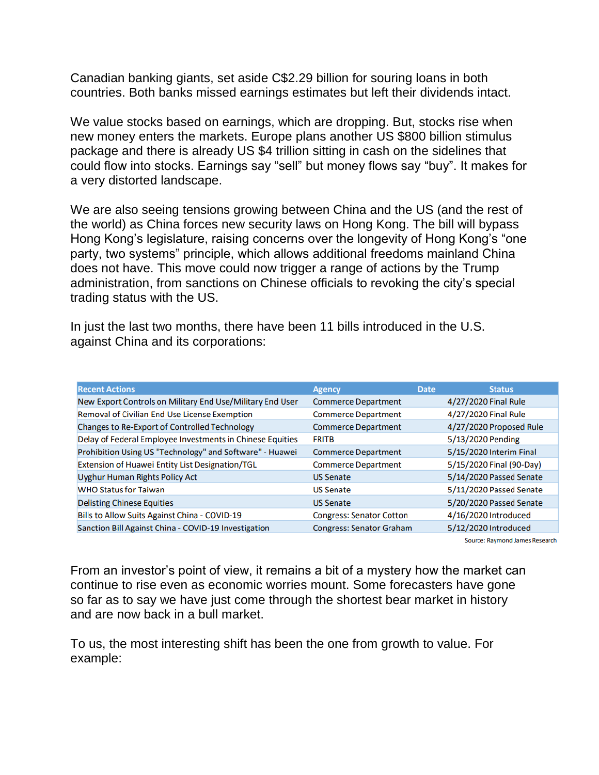Canadian banking giants, set aside C\$2.29 billion for souring loans in both countries. Both banks missed earnings estimates but left their dividends intact.

We value stocks based on earnings, which are dropping. But, stocks rise when new money enters the markets. Europe plans another US \$800 billion stimulus package and there is already US \$4 trillion sitting in cash on the sidelines that could flow into stocks. Earnings say "sell" but money flows say "buy". It makes for a very distorted landscape.

We are also seeing tensions growing between China and the US (and the rest of the world) as China forces new security laws on Hong Kong. The bill will bypass Hong Kong's legislature, raising concerns over the longevity of Hong Kong's "one party, two systems" principle, which allows additional freedoms mainland China does not have. This move could now trigger a range of actions by the Trump administration, from sanctions on Chinese officials to revoking the city's special trading status with the US.

In just the last two months, there have been 11 bills introduced in the U.S. against China and its corporations:

| <b>Recent Actions</b>                                     | <b>Agency</b>                   | <b>Date</b> | <b>Status</b>            |
|-----------------------------------------------------------|---------------------------------|-------------|--------------------------|
| New Export Controls on Military End Use/Military End User | <b>Commerce Department</b>      |             | 4/27/2020 Final Rule     |
| Removal of Civilian End Use License Exemption             | <b>Commerce Department</b>      |             | 4/27/2020 Final Rule     |
| Changes to Re-Export of Controlled Technology             | <b>Commerce Department</b>      |             | 4/27/2020 Proposed Rule  |
| Delay of Federal Employee Investments in Chinese Equities | <b>FRITB</b>                    |             | 5/13/2020 Pending        |
| Prohibition Using US "Technology" and Software" - Huawei  | <b>Commerce Department</b>      |             | 5/15/2020 Interim Final  |
| Extension of Huawei Entity List Designation/TGL           | <b>Commerce Department</b>      |             | 5/15/2020 Final (90-Day) |
| <b>Uyghur Human Rights Policy Act</b>                     | <b>US Senate</b>                |             | 5/14/2020 Passed Senate  |
| <b>WHO Status for Taiwan</b>                              | <b>US Senate</b>                |             | 5/11/2020 Passed Senate  |
| <b>Delisting Chinese Equities</b>                         | <b>US Senate</b>                |             | 5/20/2020 Passed Senate  |
| Bills to Allow Suits Against China - COVID-19             | <b>Congress: Senator Cotton</b> |             | 4/16/2020 Introduced     |
| Sanction Bill Against China - COVID-19 Investigation      | <b>Congress: Senator Graham</b> |             | 5/12/2020 Introduced     |

Source: Raymond James Research

From an investor's point of view, it remains a bit of a mystery how the market can continue to rise even as economic worries mount. Some forecasters have gone so far as to say we have just come through the shortest bear market in history and are now back in a bull market.

To us, the most interesting shift has been the one from growth to value. For example: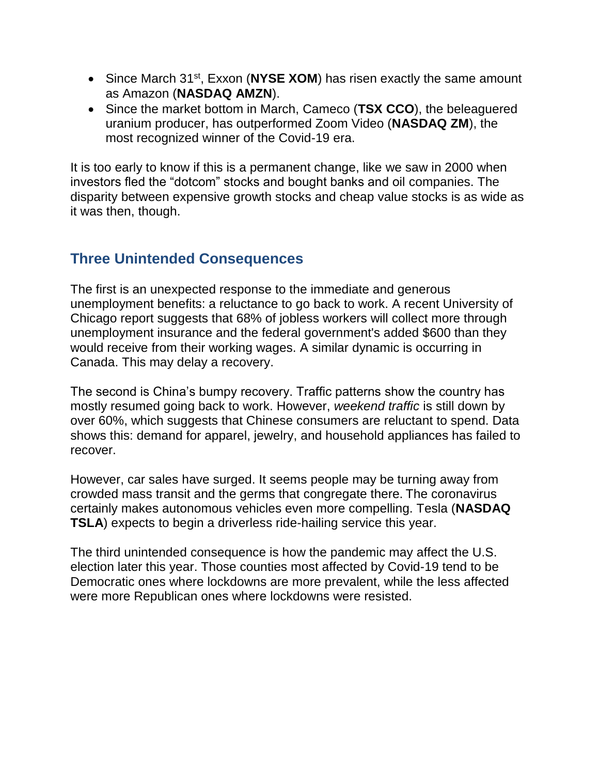- Since March 31<sup>st</sup>, Exxon (NYSE XOM) has risen exactly the same amount as Amazon (**NASDAQ AMZN**).
- Since the market bottom in March, Cameco (**TSX CCO**), the beleaguered uranium producer, has outperformed Zoom Video (**NASDAQ ZM**), the most recognized winner of the Covid-19 era.

It is too early to know if this is a permanent change, like we saw in 2000 when investors fled the "dotcom" stocks and bought banks and oil companies. The disparity between expensive growth stocks and cheap value stocks is as wide as it was then, though.

### **Three Unintended Consequences**

The first is an unexpected response to the immediate and generous unemployment benefits: a reluctance to go back to work. A recent University of Chicago report suggests that 68% of jobless workers will collect more through unemployment insurance and the federal government's added \$600 than they would receive from their working wages. A similar dynamic is occurring in Canada. This may delay a recovery.

The second is China's bumpy recovery. Traffic patterns show the country has mostly resumed going back to work. However, *weekend traffic* is still down by over 60%, which suggests that Chinese consumers are reluctant to spend. Data shows this: demand for apparel, jewelry, and household appliances has failed to recover.

However, car sales have surged. It seems people may be turning away from crowded mass transit and the germs that congregate there. The coronavirus certainly makes autonomous vehicles even more compelling. Tesla (**NASDAQ TSLA**) expects to begin a driverless ride-hailing service this year.

The third unintended consequence is how the pandemic may affect the U.S. election later this year. Those counties most affected by Covid-19 tend to be Democratic ones where lockdowns are more prevalent, while the less affected were more Republican ones where lockdowns were resisted.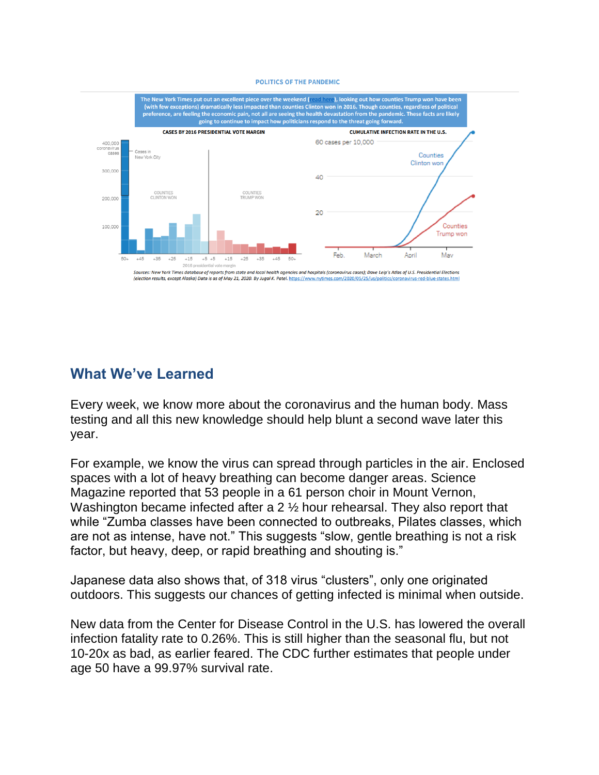#### **POLITICS OF THE PANDEMIC**



### **What We've Learned**

Every week, we know more about the coronavirus and the human body. Mass testing and all this new knowledge should help blunt a second wave later this year.

For example, we know the virus can spread through particles in the air. Enclosed spaces with a lot of heavy breathing can become danger areas. Science Magazine reported that 53 people in a 61 person choir in Mount Vernon, Washington became infected after a 2  $\frac{1}{2}$  hour rehearsal. They also report that while "Zumba classes have been connected to outbreaks, Pilates classes, which are not as intense, have not." This suggests "slow, gentle breathing is not a risk factor, but heavy, deep, or rapid breathing and shouting is."

Japanese data also shows that, of 318 virus "clusters", only one originated outdoors. This suggests our chances of getting infected is minimal when outside.

New data from the Center for Disease Control in the U.S. has lowered the overall infection fatality rate to 0.26%. This is still higher than the seasonal flu, but not 10-20x as bad, as earlier feared. The CDC further estimates that people under age 50 have a 99.97% survival rate.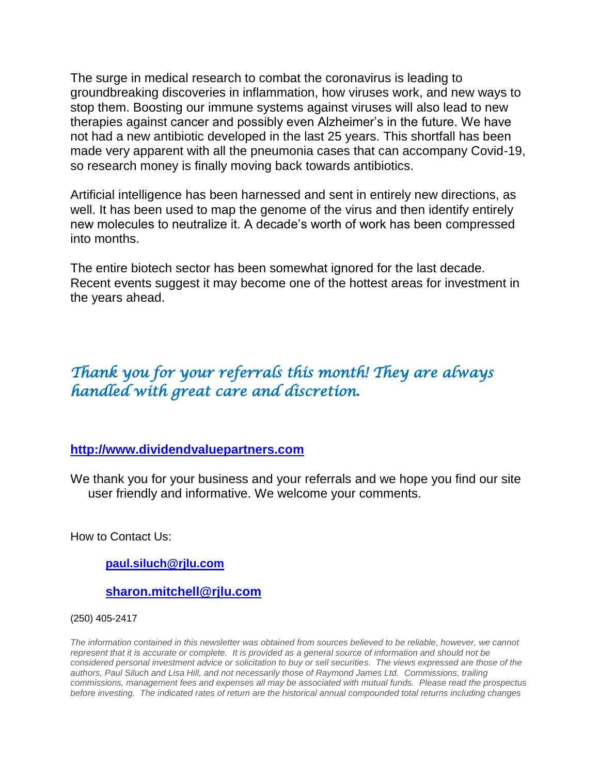The surge in medical research to combat the coronavirus is leading to groundbreaking discoveries in inflammation, how viruses work, and new ways to stop them. Boosting our immune systems against viruses will also lead to new therapies against cancer and possibly even Alzheimer's in the future. We have not had a new antibiotic developed in the last 25 years. This shortfall has been made very apparent with all the pneumonia cases that can accompany Covid-19, so research money is finally moving back towards antibiotics.

Artificial intelligence has been harnessed and sent in entirely new directions, as well. It has been used to map the genome of the virus and then identify entirely new molecules to neutralize it. A decade's worth of work has been compressed into months.

The entire biotech sector has been somewhat ignored for the last decade. Recent events suggest it may become one of the hottest areas for investment in the years ahead.

## *Thank you for your referrals this month! They are always handled with great care and discretion.*

### **[http://www.dividendvaluepartners.com](https://urldefense.proofpoint.com/v2/url?u=http-3A__www.dividendvaluepartners.com&d=DwMFAw&c=K3dQCUGiI1B95NJ6cl3GoyhMW2dvBOfimZA-83UXll0&r=_6MBBSGYsFznIBwslhTiqBKEz4pHUCTd_9tbh_EpUMY&m=scBAtuMDuWZwK1IVr5YXjdB6aRS-faGHAMq3jOn6sJU&s=enZqe4ZgcjH_33x5dT-vZq9A37d4AhNkXvjc6AbmYww&e=)**

We thank you for your business and your referrals and we hope you find our site user friendly and informative. We welcome your comments.

How to Contact Us:

**[paul.siluch@rjlu.com](mailto:paul.siluch@rjlu.com)**

### **[sharon.mitchell@rjlu.com](mailto:sharon.mitchell@rjlu.com)**

[\(250\) 405-2417](mailto:paul.siluch@raymondjames.ca) 

*The information contained in this newsletter was obtained from sources believed to be reliable, however, we cannot represent that it is accurate or complete. It is provided as a general source of information and should not be considered personal investment advice or solicitation to buy or sell securities. The views expressed are those of the authors, Paul Siluch and Lisa Hill, and not necessarily those of Raymond James Ltd. Commissions, trailing commissions, management fees and expenses all may be associated with mutual funds. Please read the prospectus before investing. The indicated rates of return are the historical annual compounded total returns including changes*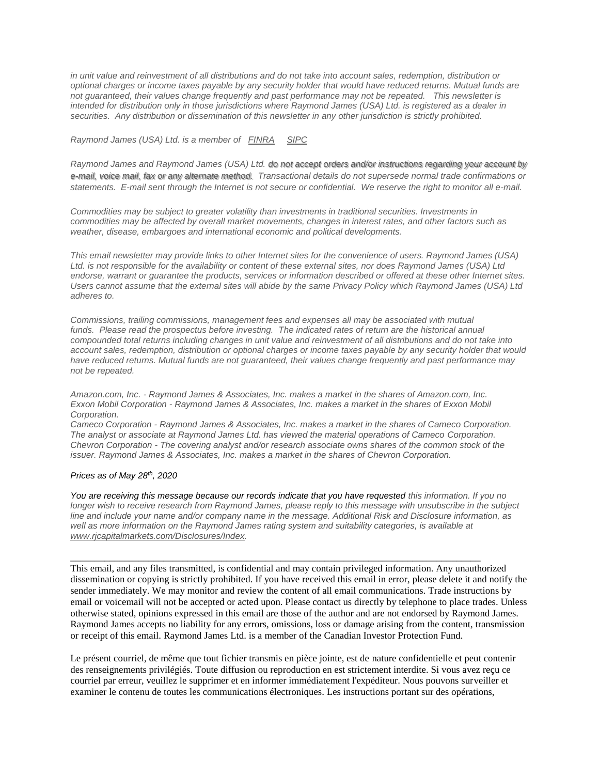*in unit value and reinvestment of all distributions and do not take into account sales, redemption, distribution or optional charges or income taxes payable by any security holder that would have reduced returns. Mutual funds are not guaranteed, their values change frequently and past performance may not be repeated. This newsletter is intended for distribution only in those jurisdictions where Raymond James (USA) Ltd. is registered as a dealer in securities. Any distribution or dissemination of this newsletter in any other jurisdiction is strictly prohibited.*

*Raymond James (USA) Ltd. is a member of [FINRA](http://www.finra.org/) [SIPC](http://www.sipc.org/)*

*Raymond James [and Raymond James \(USA\) Ltd. do not accept orders and/or instructions regarding your account by](mailto:paul.siluch@raymondjames.ca)  e-mail, voice mail, fax or any alternate method. [Transactional details do not supersede normal trade confirmations or](mailto:paul.siluch@raymondjames.ca)  statements. [E-mail sent through the Internet is not secure or confidential.](mailto:paul.siluch@raymondjames.ca) We reserve the right to monitor all e-mail.*

*Commodities may be subject to greater volatility than investments in traditional securities. Investments in commodities may be affected by overall market movements, changes in interest rates, and other factors such as weather, disease, embargoes and international economic and political developments.*

*This email newsletter may provide links to other Internet sites for the convenience of users. Raymond James (USA) Ltd. is not responsible for the availability or content of these external sites, nor does Raymond James (USA) Ltd endorse, warrant or guarantee the products, services or information described or offered at these other Internet sites. Users cannot assume that the external sites will abide by the same Privacy Policy which Raymond James (USA) Ltd adheres to.* 

*Commissions, trailing commissions, management fees and expenses all may be associated with mutual funds. Please read the prospectus before investing. The indicated rates of return are the historical annual compounded total returns including changes in unit value and reinvestment of all distributions and do not take into account sales, redemption, distribution or optional charges or income taxes payable by any security holder that would have reduced returns. Mutual funds are not guaranteed, their values change frequently and past performance may not be repeated.*

*Amazon.com, Inc. - Raymond James & Associates, Inc. makes a market in the shares of Amazon.com, Inc. Exxon Mobil Corporation - Raymond James & Associates, Inc. makes a market in the shares of Exxon Mobil Corporation.*

*Cameco Corporation - Raymond James & Associates, Inc. makes a market in the shares of Cameco Corporation. The analyst or associate at Raymond James Ltd. has viewed the material operations of Cameco Corporation. Chevron Corporation - The covering analyst and/or research associate owns shares of the common stock of the issuer. Raymond James & Associates, Inc. makes a market in the shares of Chevron Corporation.*

#### *Prices as of May 28th, 2020*

*You are receiving this message because our records indicate that you have requested this information. If you no longer wish to receive research from Raymond James, please reply to this message with unsubscribe in the subject line and include your name and/or company name in the message. Additional Risk and Disclosure information, as*  well as more information on the Raymond James rating system and suitability categories, is available at *[www.rjcapitalmarkets.com/Disclosures/Index.](https://owa-kel.raymondjames.ca/owa/redir.aspx?SURL=xhOB4gpVfLOskwdkUL9L2f18Fq4IG2rgvMfuIIX7BlwZiacj7DPTCGgAdAB0AHAAOgAvAC8AdwB3AHcALgByAGoAYwBhAHAAaQB0AGEAbABtAGEAcgBrAGUAdABzAC4AYwBvAG0ALwBEAGkAcwBjAGwAbwBzAHUAcgBlAHMALwBJAG4AZABlAHgA&URL=http%3a%2f%2fwww.rjcapitalmarkets.com%2fDisclosures%2fIndex)*

\_\_\_\_\_\_\_\_\_\_\_\_\_\_\_\_\_\_\_\_\_\_\_\_\_\_\_\_\_\_\_\_\_\_\_\_\_\_\_\_\_\_\_\_\_\_\_\_\_\_\_\_\_\_\_\_\_\_\_\_\_\_\_\_\_\_\_\_\_\_\_\_\_\_\_\_\_\_\_\_\_\_\_\_

This email, and any files transmitted, is confidential and may contain privileged information. Any unauthorized dissemination or copying is strictly prohibited. If you have received this email in error, please delete it and notify the sender immediately. We may monitor and review the content of all email communications. Trade instructions by email or voicemail will not be accepted or acted upon. Please contact us directly by telephone to place trades. Unless otherwise stated, opinions expressed in this email are those of the author and are not endorsed by Raymond James. Raymond James accepts no liability for any errors, omissions, loss or damage arising from the content, transmission or receipt of this email. Raymond James Ltd. is a member of the Canadian Investor Protection Fund.

Le présent courriel, de même que tout fichier transmis en pièce jointe, est de nature confidentielle et peut contenir des renseignements privilégiés. Toute diffusion ou reproduction en est strictement interdite. Si vous avez reçu ce courriel par erreur, veuillez le supprimer et en informer immédiatement l'expéditeur. Nous pouvons surveiller et examiner le contenu de toutes les communications électroniques. Les instructions portant sur des opérations,